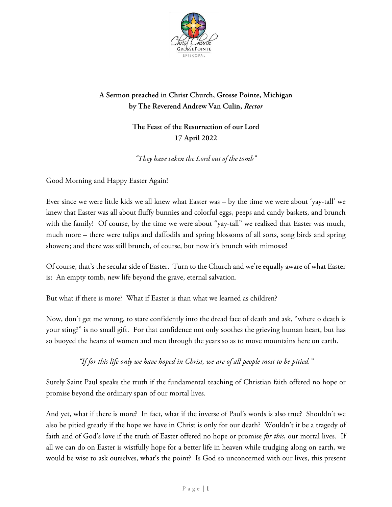

## **A Sermon preached in Christ Church, Grosse Pointe, Michigan by The Reverend Andrew Van Culin,** *Rector*

## **The Feast of the Resurrection of our Lord 17 April 2022**

*"They have taken the Lord out of the tomb"*

Good Morning and Happy Easter Again!

Ever since we were little kids we all knew what Easter was – by the time we were about 'yay-tall' we knew that Easter was all about fluffy bunnies and colorful eggs, peeps and candy baskets, and brunch with the family! Of course, by the time we were about "yay-tall" we realized that Easter was much, much more – there were tulips and daffodils and spring blossoms of all sorts, song birds and spring showers; and there was still brunch, of course, but now it's brunch with mimosas!

Of course, that's the secular side of Easter. Turn to the Church and we're equally aware of what Easter is: An empty tomb, new life beyond the grave, eternal salvation.

But what if there is more? What if Easter is than what we learned as children?

Now, don't get me wrong, to stare confidently into the dread face of death and ask, "where o death is your sting?" is no small gift. For that confidence not only soothes the grieving human heart, but has so buoyed the hearts of women and men through the years so as to move mountains here on earth.

*"If for this life only we have hoped in Christ, we are of all people most to be pitied."*

Surely Saint Paul speaks the truth if the fundamental teaching of Christian faith offered no hope or promise beyond the ordinary span of our mortal lives.

And yet, what if there is more? In fact, what if the inverse of Paul's words is also true? Shouldn't we also be pitied greatly if the hope we have in Christ is only for our death? Wouldn't it be a tragedy of faith and of God's love if the truth of Easter offered no hope or promise *for this*, our mortal lives. If all we can do on Easter is wistfully hope for a better life in heaven while trudging along on earth, we would be wise to ask ourselves, what's the point? Is God so unconcerned with our lives, this present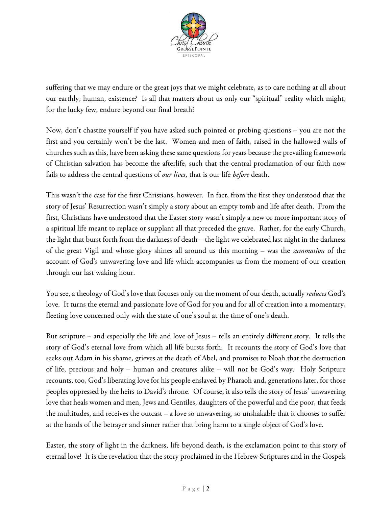

suffering that we may endure or the great joys that we might celebrate, as to care nothing at all about our earthly, human, existence? Is all that matters about us only our "spiritual" reality which might, for the lucky few, endure beyond our final breath?

Now, don't chastize yourself if you have asked such pointed or probing questions – you are not the first and you certainly won't be the last. Women and men of faith, raised in the hallowed walls of churches such as this, have been asking thesesame questions for years because the prevailing framework of Christian salvation has become the afterlife, such that the central proclamation of our faith now fails to address the central questions of *our lives*, that is our life *before* death.

This wasn't the case for the first Christians, however. In fact, from the first they understood that the story of Jesus' Resurrection wasn't simply a story about an empty tomb and life after death. From the first, Christians have understood that the Easter story wasn't simply a new or more important story of a spiritual life meant to replace or supplant all that preceded the grave. Rather, for the early Church, the light that burst forth from the darkness of death – the light we celebrated last night in the darkness of the great Vigil and whose glory shines all around us this morning – was the *summation* of the account of God's unwavering love and life which accompanies us from the moment of our creation through our last waking hour.

You see, a theology of God's love that focuses only on the moment of our death, actually *reduces* God's love. It turns the eternal and passionate love of God for you and for all of creation into a momentary, fleeting love concerned only with the state of one's soul at the time of one's death.

But scripture – and especially the life and love of Jesus – tells an entirely different story. It tells the story of God's eternal love from which all life bursts forth. It recounts the story of God's love that seeks out Adam in his shame, grieves at the death of Abel, and promises to Noah that the destruction of life, precious and holy – human and creatures alike – will not be God's way. Holy Scripture recounts, too, God's liberating love for his people enslaved by Pharaoh and, generations later, for those peoples oppressed by the heirs to David's throne. Of course, it also tells the story of Jesus' unwavering love that heals women and men, Jews and Gentiles, daughters of the powerful and the poor, that feeds the multitudes, and receives the outcast – a love so unwavering, so unshakable that it chooses to suffer at the hands of the betrayer and sinner rather that bring harm to a single object of God's love.

Easter, the story of light in the darkness, life beyond death, is the exclamation point to this story of eternal love! It is the revelation that the story proclaimed in the Hebrew Scriptures and in the Gospels